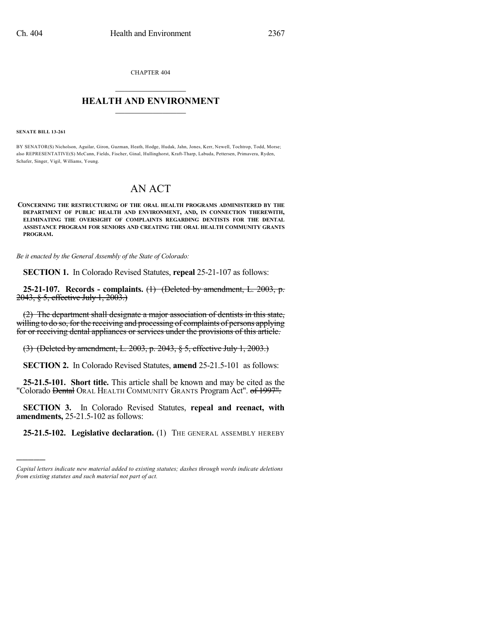CHAPTER 404

## $\overline{\phantom{a}}$  . The set of the set of the set of the set of the set of the set of the set of the set of the set of the set of the set of the set of the set of the set of the set of the set of the set of the set of the set o **HEALTH AND ENVIRONMENT**  $\_$

**SENATE BILL 13-261**

)))))

BY SENATOR(S) Nicholson, Aguilar, Giron, Guzman, Heath, Hodge, Hudak, Jahn, Jones, Kerr, Newell, Tochtrop, Todd, Morse; also REPRESENTATIVE(S) McCann, Fields, Fischer, Ginal, Hullinghorst, Kraft-Tharp, Labuda, Pettersen, Primavera, Ryden, Schafer, Singer, Vigil, Williams, Young.

## AN ACT

**CONCERNING THE RESTRUCTURING OF THE ORAL HEALTH PROGRAMS ADMINISTERED BY THE DEPARTMENT OF PUBLIC HEALTH AND ENVIRONMENT, AND, IN CONNECTION THEREWITH, ELIMINATING THE OVERSIGHT OF COMPLAINTS REGARDING DENTISTS FOR THE DENTAL ASSISTANCE PROGRAM FOR SENIORS AND CREATING THE ORAL HEALTH COMMUNITY GRANTS PROGRAM.**

*Be it enacted by the General Assembly of the State of Colorado:*

**SECTION 1.** In Colorado Revised Statutes, **repeal** 25-21-107 as follows:

**25-21-107. Records - complaints.** (1) (Deleted by amendment, L. 2003, p. 2043, § 5, effective July 1, 2003.)

(2) The department shall designate a major association of dentists in this state, willing to do so, for the receiving and processing of complaints of persons applying for or receiving dental appliances or services under the provisions of this article.

(3) (Deleted by amendment, L. 2003, p. 2043, § 5, effective July 1, 2003.)

**SECTION 2.** In Colorado Revised Statutes, **amend** 25-21.5-101 as follows:

**25-21.5-101. Short title.** This article shall be known and may be cited as the "Colorado Dental ORAL HEALTH COMMUNITY GRANTS Program Act". of 1997".

**SECTION 3.** In Colorado Revised Statutes, **repeal and reenact, with amendments,** 25-21.5-102 as follows:

**25-21.5-102. Legislative declaration.** (1) THE GENERAL ASSEMBLY HEREBY

*Capital letters indicate new material added to existing statutes; dashes through words indicate deletions from existing statutes and such material not part of act.*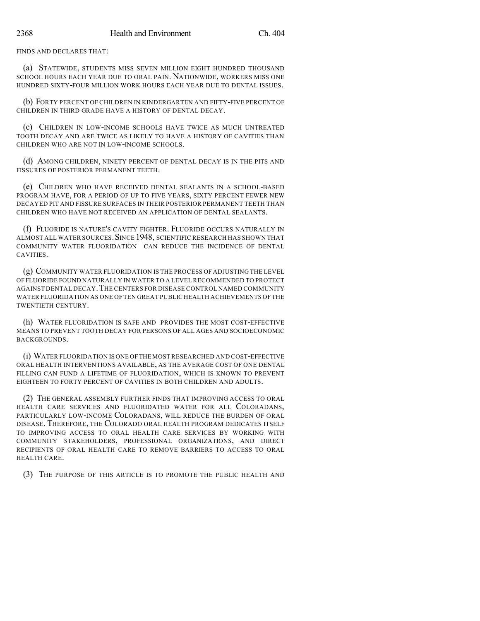FINDS AND DECLARES THAT:

(a) STATEWIDE, STUDENTS MISS SEVEN MILLION EIGHT HUNDRED THOUSAND SCHOOL HOURS EACH YEAR DUE TO ORAL PAIN. NATIONWIDE, WORKERS MISS ONE HUNDRED SIXTY-FOUR MILLION WORK HOURS EACH YEAR DUE TO DENTAL ISSUES.

(b) FORTY PERCENT OF CHILDREN IN KINDERGARTEN AND FIFTY-FIVE PERCENT OF CHILDREN IN THIRD GRADE HAVE A HISTORY OF DENTAL DECAY.

(c) CHILDREN IN LOW-INCOME SCHOOLS HAVE TWICE AS MUCH UNTREATED TOOTH DECAY AND ARE TWICE AS LIKELY TO HAVE A HISTORY OF CAVITIES THAN CHILDREN WHO ARE NOT IN LOW-INCOME SCHOOLS.

(d) AMONG CHILDREN, NINETY PERCENT OF DENTAL DECAY IS IN THE PITS AND FISSURES OF POSTERIOR PERMANENT TEETH.

(e) CHILDREN WHO HAVE RECEIVED DENTAL SEALANTS IN A SCHOOL-BASED PROGRAM HAVE, FOR A PERIOD OF UP TO FIVE YEARS, SIXTY PERCENT FEWER NEW DECAYED PIT AND FISSURE SURFACES IN THEIR POSTERIOR PERMANENT TEETH THAN CHILDREN WHO HAVE NOT RECEIVED AN APPLICATION OF DENTAL SEALANTS.

(f) FLUORIDE IS NATURE'S CAVITY FIGHTER. FLUORIDE OCCURS NATURALLY IN ALMOST ALL WATER SOURCES.SINCE 1948, SCIENTIFIC RESEARCH HAS SHOWN THAT COMMUNITY WATER FLUORIDATION CAN REDUCE THE INCIDENCE OF DENTAL CAVITIES.

(g) COMMUNITY WATER FLUORIDATION IS THE PROCESS OF ADJUSTING THE LEVEL OF FLUORIDE FOUND NATURALLY IN WATER TO A LEVEL RECOMMENDED TO PROTECT AGAINST DENTAL DECAY.THE CENTERS FOR DISEASE CONTROL NAMED COMMUNITY WATER FLUORIDATION AS ONE OF TEN GREAT PUBLIC HEALTH ACHIEVEMENTS OF THE TWENTIETH CENTURY.

(h) WATER FLUORIDATION IS SAFE AND PROVIDES THE MOST COST-EFFECTIVE MEANS TO PREVENT TOOTH DECAY FOR PERSONS OF ALL AGES AND SOCIOECONOMIC BACKGROUNDS.

(i) WATER FLUORIDATION IS ONE OFTHE MOST RESEARCHED AND COST-EFFECTIVE ORAL HEALTH INTERVENTIONS AVAILABLE, AS THE AVERAGE COST OF ONE DENTAL FILLING CAN FUND A LIFETIME OF FLUORIDATION, WHICH IS KNOWN TO PREVENT EIGHTEEN TO FORTY PERCENT OF CAVITIES IN BOTH CHILDREN AND ADULTS.

(2) THE GENERAL ASSEMBLY FURTHER FINDS THAT IMPROVING ACCESS TO ORAL HEALTH CARE SERVICES AND FLUORIDATED WATER FOR ALL COLORADANS, PARTICULARLY LOW-INCOME COLORADANS, WILL REDUCE THE BURDEN OF ORAL DISEASE. THEREFORE, THE COLORADO ORAL HEALTH PROGRAM DEDICATES ITSELF TO IMPROVING ACCESS TO ORAL HEALTH CARE SERVICES BY WORKING WITH COMMUNITY STAKEHOLDERS, PROFESSIONAL ORGANIZATIONS, AND DIRECT RECIPIENTS OF ORAL HEALTH CARE TO REMOVE BARRIERS TO ACCESS TO ORAL HEALTH CARE.

(3) THE PURPOSE OF THIS ARTICLE IS TO PROMOTE THE PUBLIC HEALTH AND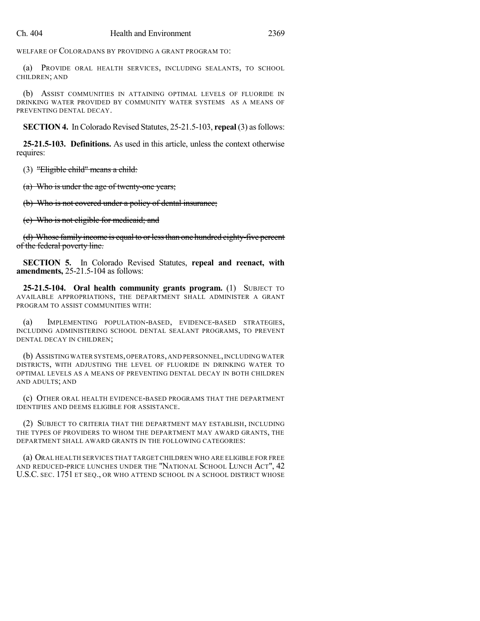WELFARE OF COLORADANS BY PROVIDING A GRANT PROGRAM TO:

(a) PROVIDE ORAL HEALTH SERVICES, INCLUDING SEALANTS, TO SCHOOL CHILDREN; AND

(b) ASSIST COMMUNITIES IN ATTAINING OPTIMAL LEVELS OF FLUORIDE IN DRINKING WATER PROVIDED BY COMMUNITY WATER SYSTEMS AS A MEANS OF PREVENTING DENTAL DECAY.

**SECTION 4.** In Colorado Revised Statutes, 25-21.5-103, **repeal** (3) as follows:

**25-21.5-103. Definitions.** As used in this article, unless the context otherwise requires:

(3) "Eligible child" means a child:

(a) Who is under the age of twenty-one years;

(b) Who is not covered under a policy of dental insurance;

(c) Who is not eligible for medicaid; and

(d) Whose family income is equal to or less than one hundred eighty-five percent of the federal poverty line.

**SECTION 5.** In Colorado Revised Statutes, **repeal and reenact, with amendments,** 25-21.5-104 as follows:

**25-21.5-104. Oral health community grants program.** (1) SUBJECT TO AVAILABLE APPROPRIATIONS, THE DEPARTMENT SHALL ADMINISTER A GRANT PROGRAM TO ASSIST COMMUNITIES WITH:

(a) IMPLEMENTING POPULATION-BASED, EVIDENCE-BASED STRATEGIES, INCLUDING ADMINISTERING SCHOOL DENTAL SEALANT PROGRAMS, TO PREVENT DENTAL DECAY IN CHILDREN;

(b) ASSISTINGWATER SYSTEMS,OPERATORS,AND PERSONNEL,INCLUDING WATER DISTRICTS, WITH ADJUSTING THE LEVEL OF FLUORIDE IN DRINKING WATER TO OPTIMAL LEVELS AS A MEANS OF PREVENTING DENTAL DECAY IN BOTH CHILDREN AND ADULTS; AND

(c) OTHER ORAL HEALTH EVIDENCE-BASED PROGRAMS THAT THE DEPARTMENT IDENTIFIES AND DEEMS ELIGIBLE FOR ASSISTANCE.

(2) SUBJECT TO CRITERIA THAT THE DEPARTMENT MAY ESTABLISH, INCLUDING THE TYPES OF PROVIDERS TO WHOM THE DEPARTMENT MAY AWARD GRANTS, THE DEPARTMENT SHALL AWARD GRANTS IN THE FOLLOWING CATEGORIES:

(a) ORAL HEALTH SERVICES THAT TARGET CHILDREN WHO ARE ELIGIBLE FOR FREE AND REDUCED-PRICE LUNCHES UNDER THE "NATIONAL SCHOOL LUNCH ACT", 42 U.S.C. SEC. 1751 ET SEQ., OR WHO ATTEND SCHOOL IN A SCHOOL DISTRICT WHOSE